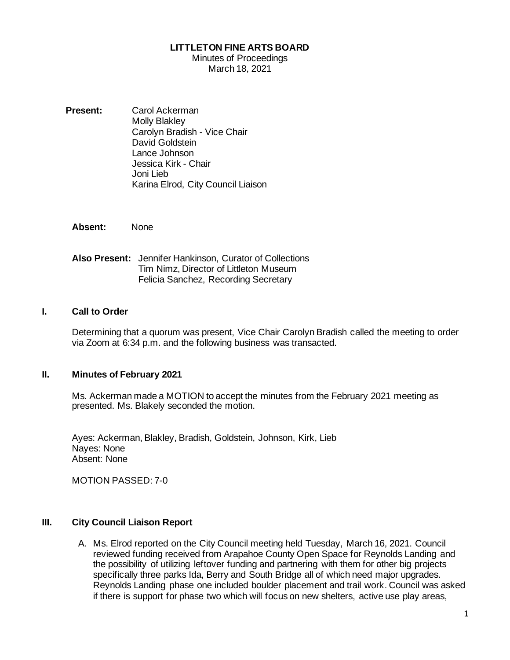### **LITTLETON FINE ARTS BOARD**

#### Minutes of Proceedings March 18, 2021

**Present:** Carol Ackerman Molly Blakley Carolyn Bradish - Vice Chair David Goldstein Lance Johnson Jessica Kirk - Chair Joni Lieb Karina Elrod, City Council Liaison

**Absent:** None

**Also Present:** Jennifer Hankinson, Curator of Collections Tim Nimz, Director of Littleton Museum Felicia Sanchez, Recording Secretary

### **I. Call to Order**

Determining that a quorum was present, Vice Chair Carolyn Bradish called the meeting to order via Zoom at 6:34 p.m. and the following business was transacted.

### **II. Minutes of February 2021**

Ms. Ackerman made a MOTION to accept the minutes from the February 2021 meeting as presented. Ms. Blakely seconded the motion.

Ayes: Ackerman, Blakley, Bradish, Goldstein, Johnson, Kirk, Lieb Nayes: None Absent: None

MOTION PASSED: 7-0

## **III. City Council Liaison Report**

A. Ms. Elrod reported on the City Council meeting held Tuesday, March 16, 2021. Council reviewed funding received from Arapahoe County Open Space for Reynolds Landing and the possibility of utilizing leftover funding and partnering with them for other big projects specifically three parks Ida, Berry and South Bridge all of which need major upgrades. Reynolds Landing phase one included boulder placement and trail work. Council was asked if there is support for phase two which will focus on new shelters, active use play areas,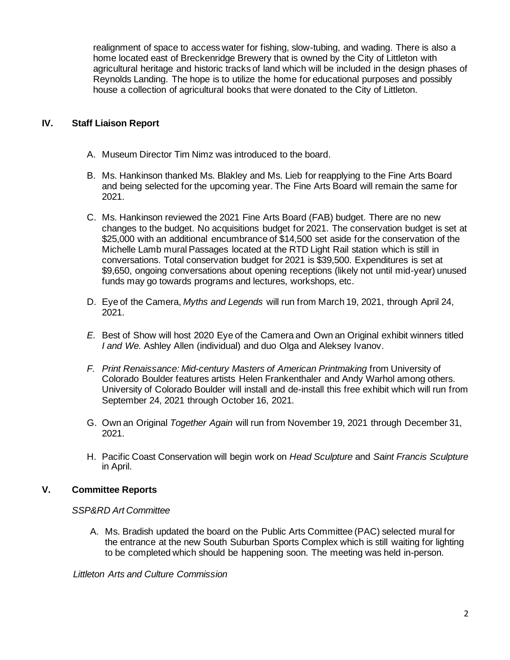realignment of space to access water for fishing, slow-tubing, and wading. There is also a home located east of Breckenridge Brewery that is owned by the City of Littleton with agricultural heritage and historic tracks of land which will be included in the design phases of Reynolds Landing. The hope is to utilize the home for educational purposes and possibly house a collection of agricultural books that were donated to the City of Littleton.

## **IV. Staff Liaison Report**

- A. Museum Director Tim Nimz was introduced to the board.
- B. Ms. Hankinson thanked Ms. Blakley and Ms. Lieb for reapplying to the Fine Arts Board and being selected for the upcoming year. The Fine Arts Board will remain the same for 2021.
- C. Ms. Hankinson reviewed the 2021 Fine Arts Board (FAB) budget. There are no new changes to the budget. No acquisitions budget for 2021. The conservation budget is set at \$25,000 with an additional encumbrance of \$14,500 set aside for the conservation of the Michelle Lamb mural Passages located at the RTD Light Rail station which is still in conversations. Total conservation budget for 2021 is \$39,500. Expenditures is set at \$9,650, ongoing conversations about opening receptions (likely not until mid-year) unused funds may go towards programs and lectures, workshops, etc.
- D. Eye of the Camera, *Myths and Legends* will run from March 19, 2021, through April 24, 2021.
- *E.* Best of Show will host 2020 Eye of the Camera and Own an Original exhibit winners titled *I and We.* Ashley Allen (individual) and duo Olga and Aleksey Ivanov.
- *F. Print Renaissance: Mid-century Masters of American Printmaking* from University of Colorado Boulder features artists Helen Frankenthaler and Andy Warhol among others. University of Colorado Boulder will install and de-install this free exhibit which will run from September 24, 2021 through October 16, 2021.
- G. Own an Original *Together Again* will run from November 19, 2021 through December 31, 2021.
- H. Pacific Coast Conservation will begin work on *Head Sculpture* and *Saint Francis Sculpture* in April.

# **V. Committee Reports**

## *SSP&RD Art Committee*

A. Ms. Bradish updated the board on the Public Arts Committee (PAC) selected mural for the entrance at the new South Suburban Sports Complex which is still waiting for lighting to be completed which should be happening soon. The meeting was held in-person.

 *Littleton Arts and Culture Commission*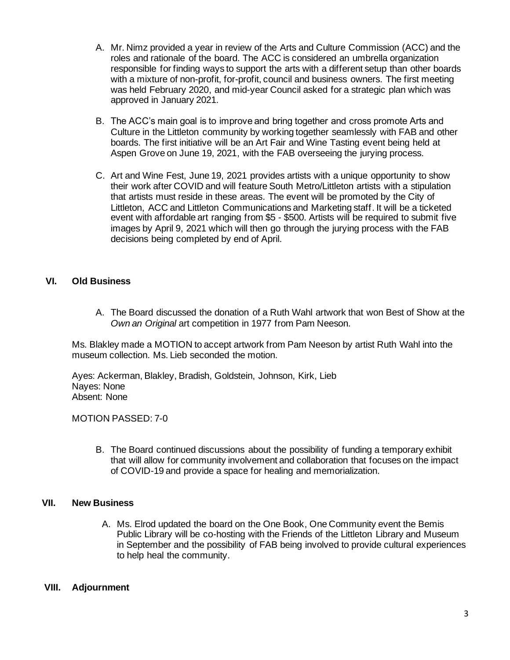- A. Mr. Nimz provided a year in review of the Arts and Culture Commission (ACC) and the roles and rationale of the board. The ACC is considered an umbrella organization responsible for finding ways to support the arts with a different setup than other boards with a mixture of non-profit, for-profit, council and business owners. The first meeting was held February 2020, and mid-year Council asked for a strategic plan which was approved in January 2021.
- B. The ACC's main goal is to improve and bring together and cross promote Arts and Culture in the Littleton community by working together seamlessly with FAB and other boards. The first initiative will be an Art Fair and Wine Tasting event being held at Aspen Grove on June 19, 2021, with the FAB overseeing the jurying process.
- C. Art and Wine Fest, June 19, 2021 provides artists with a unique opportunity to show their work after COVID and will feature South Metro/Littleton artists with a stipulation that artists must reside in these areas. The event will be promoted by the City of Littleton, ACC and Littleton Communications and Marketing staff. It will be a ticketed event with affordable art ranging from \$5 - \$500. Artists will be required to submit five images by April 9, 2021 which will then go through the jurying process with the FAB decisions being completed by end of April.

## **VI. Old Business**

A. The Board discussed the donation of a Ruth Wahl artwork that won Best of Show at the *Own an Original* art competition in 1977 from Pam Neeson.

Ms. Blakley made a MOTION to accept artwork from Pam Neeson by artist Ruth Wahl into the museum collection. Ms. Lieb seconded the motion.

Ayes: Ackerman, Blakley, Bradish, Goldstein, Johnson, Kirk, Lieb Nayes: None Absent: None

MOTION PASSED: 7-0

B. The Board continued discussions about the possibility of funding a temporary exhibit that will allow for community involvement and collaboration that focuses on the impact of COVID-19 and provide a space for healing and memorialization.

## **VII. New Business**

A. Ms. Elrod updated the board on the One Book, One Community event the Bemis Public Library will be co-hosting with the Friends of the Littleton Library and Museum in September and the possibility of FAB being involved to provide cultural experiences to help heal the community.

## **VIII. Adjournment**